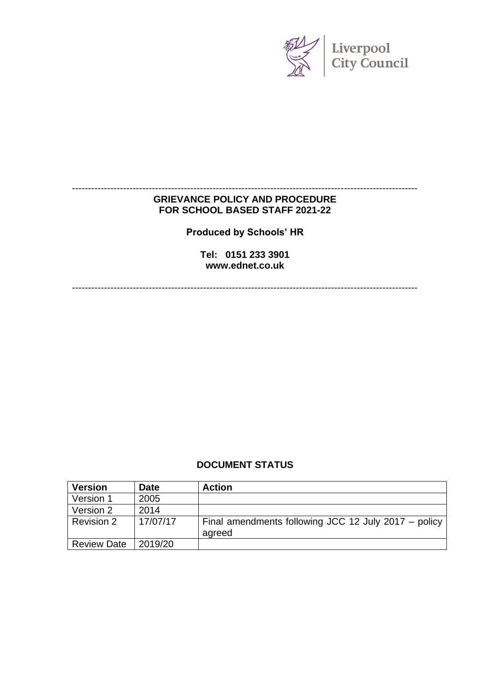

## **GRIEVANCE POLICY AND PROCEDURE FOR SCHOOL BASED STAFF 2021-22**

------------------------------------------------------------------------------------------------------------

**Produced by Schools' HR**

**Tel: 0151 233 3901 www.ednet.co.uk**

------------------------------------------------------------------------------------------------------------

#### **DOCUMENT STATUS**

| <b>Version</b>     | <b>Date</b> | <b>Action</b>                                                  |
|--------------------|-------------|----------------------------------------------------------------|
| Version 1          | 2005        |                                                                |
| Version 2          | 2014        |                                                                |
| Revision 2         | 17/07/17    | Final amendments following JCC 12 July 2017 – policy<br>agreed |
| <b>Review Date</b> | 2019/20     |                                                                |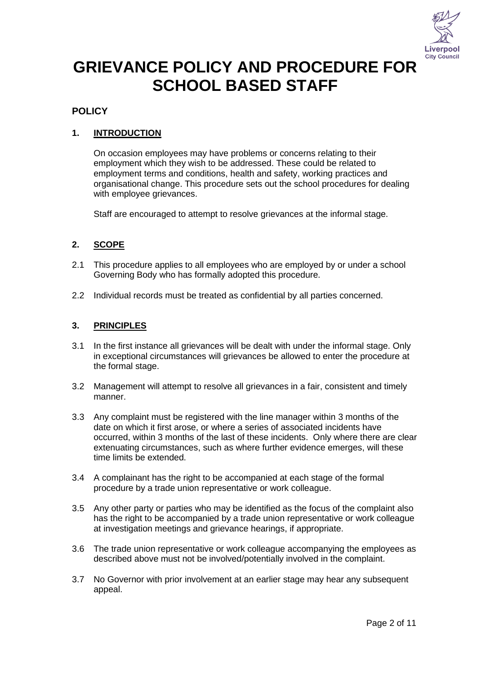

# **GRIEVANCE POLICY AND PROCEDURE FOR SCHOOL BASED STAFF**

## **POLICY**

### **1. INTRODUCTION**

On occasion employees may have problems or concerns relating to their employment which they wish to be addressed. These could be related to employment terms and conditions, health and safety, working practices and organisational change. This procedure sets out the school procedures for dealing with employee grievances.

Staff are encouraged to attempt to resolve grievances at the informal stage.

#### **2. SCOPE**

- 2.1 This procedure applies to all employees who are employed by or under a school Governing Body who has formally adopted this procedure.
- 2.2 Individual records must be treated as confidential by all parties concerned.

#### **3. PRINCIPLES**

- 3.1 In the first instance all grievances will be dealt with under the informal stage. Only in exceptional circumstances will grievances be allowed to enter the procedure at the formal stage.
- 3.2 Management will attempt to resolve all grievances in a fair, consistent and timely manner.
- 3.3 Any complaint must be registered with the line manager within 3 months of the date on which it first arose, or where a series of associated incidents have occurred, within 3 months of the last of these incidents. Only where there are clear extenuating circumstances, such as where further evidence emerges, will these time limits be extended.
- 3.4 A complainant has the right to be accompanied at each stage of the formal procedure by a trade union representative or work colleague.
- 3.5 Any other party or parties who may be identified as the focus of the complaint also has the right to be accompanied by a trade union representative or work colleague at investigation meetings and grievance hearings, if appropriate.
- 3.6 The trade union representative or work colleague accompanying the employees as described above must not be involved/potentially involved in the complaint.
- 3.7 No Governor with prior involvement at an earlier stage may hear any subsequent appeal.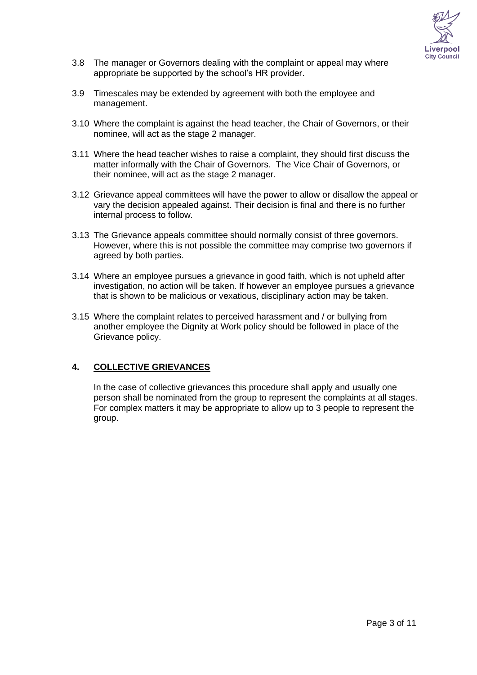

- 3.8 The manager or Governors dealing with the complaint or appeal may where appropriate be supported by the school's HR provider.
- 3.9 Timescales may be extended by agreement with both the employee and management.
- 3.10 Where the complaint is against the head teacher, the Chair of Governors, or their nominee, will act as the stage 2 manager.
- 3.11 Where the head teacher wishes to raise a complaint, they should first discuss the matter informally with the Chair of Governors. The Vice Chair of Governors, or their nominee, will act as the stage 2 manager.
- 3.12 Grievance appeal committees will have the power to allow or disallow the appeal or vary the decision appealed against. Their decision is final and there is no further internal process to follow*.*
- 3.13 The Grievance appeals committee should normally consist of three governors. However, where this is not possible the committee may comprise two governors if agreed by both parties.
- 3.14 Where an employee pursues a grievance in good faith, which is not upheld after investigation, no action will be taken. If however an employee pursues a grievance that is shown to be malicious or vexatious, disciplinary action may be taken.
- 3.15 Where the complaint relates to perceived harassment and / or bullying from another employee the Dignity at Work policy should be followed in place of the Grievance policy.

#### **4. COLLECTIVE GRIEVANCES**

In the case of collective grievances this procedure shall apply and usually one person shall be nominated from the group to represent the complaints at all stages. For complex matters it may be appropriate to allow up to 3 people to represent the group.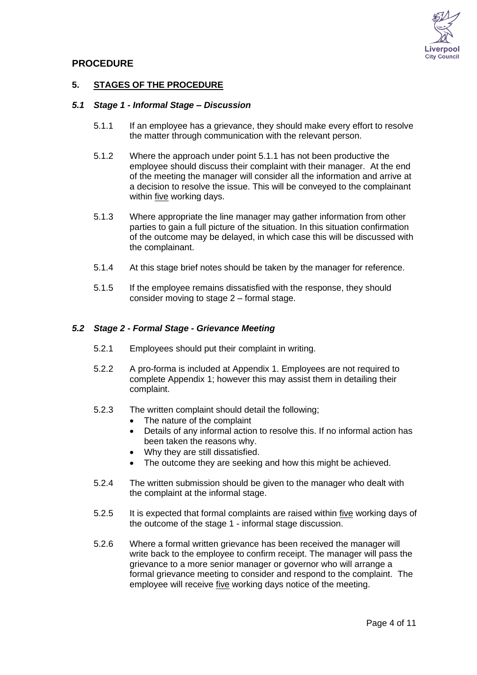

#### **PROCEDURE**

#### **5. STAGES OF THE PROCEDURE**

#### *5.1 Stage 1 - Informal Stage – Discussion*

- 5.1.1 If an employee has a grievance, they should make every effort to resolve the matter through communication with the relevant person.
- 5.1.2 Where the approach under point 5.1.1 has not been productive the employee should discuss their complaint with their manager. At the end of the meeting the manager will consider all the information and arrive at a decision to resolve the issue. This will be conveyed to the complainant within five working days.
- 5.1.3 Where appropriate the line manager may gather information from other parties to gain a full picture of the situation. In this situation confirmation of the outcome may be delayed, in which case this will be discussed with the complainant.
- 5.1.4 At this stage brief notes should be taken by the manager for reference.
- 5.1.5 If the employee remains dissatisfied with the response, they should consider moving to stage 2 – formal stage.

#### *5.2 Stage 2 - Formal Stage - Grievance Meeting*

- 5.2.1 Employees should put their complaint in writing.
- 5.2.2 A pro-forma is included at Appendix 1. Employees are not required to complete Appendix 1; however this may assist them in detailing their complaint.
- 5.2.3 The written complaint should detail the following;
	- The nature of the complaint
	- Details of any informal action to resolve this. If no informal action has been taken the reasons why.
	- Why they are still dissatisfied.
	- The outcome they are seeking and how this might be achieved.
- 5.2.4 The written submission should be given to the manager who dealt with the complaint at the informal stage.
- 5.2.5 It is expected that formal complaints are raised within five working days of the outcome of the stage 1 - informal stage discussion.
- 5.2.6 Where a formal written grievance has been received the manager will write back to the employee to confirm receipt. The manager will pass the grievance to a more senior manager or governor who will arrange a formal grievance meeting to consider and respond to the complaint. The employee will receive five working days notice of the meeting.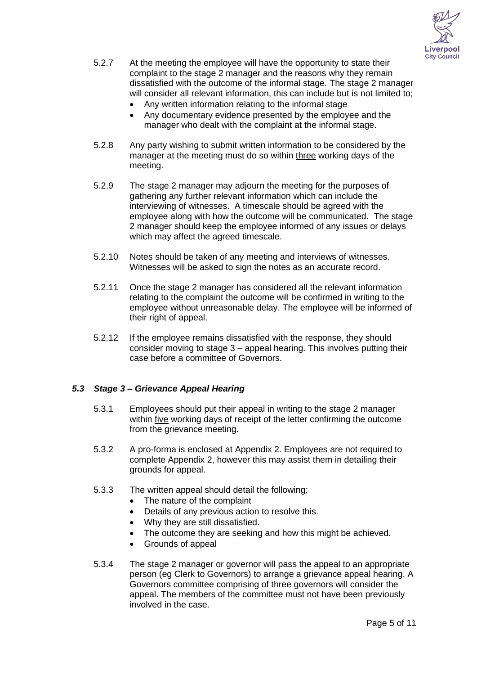

- 5.2.7 At the meeting the employee will have the opportunity to state their complaint to the stage 2 manager and the reasons why they remain dissatisfied with the outcome of the informal stage. The stage 2 manager will consider all relevant information, this can include but is not limited to:
	- Any written information relating to the informal stage
	- Any documentary evidence presented by the employee and the manager who dealt with the complaint at the informal stage.
- 5.2.8 Any party wishing to submit written information to be considered by the manager at the meeting must do so within three working days of the meeting.
- 5.2.9 The stage 2 manager may adjourn the meeting for the purposes of gathering any further relevant information which can include the interviewing of witnesses. A timescale should be agreed with the employee along with how the outcome will be communicated. The stage 2 manager should keep the employee informed of any issues or delays which may affect the agreed timescale.
- 5.2.10 Notes should be taken of any meeting and interviews of witnesses. Witnesses will be asked to sign the notes as an accurate record.
- 5.2.11 Once the stage 2 manager has considered all the relevant information relating to the complaint the outcome will be confirmed in writing to the employee without unreasonable delay. The employee will be informed of their right of appeal.
- 5.2.12 If the employee remains dissatisfied with the response, they should consider moving to stage 3 – appeal hearing. This involves putting their case before a committee of Governors.

#### *5.3 Stage 3 – Grievance Appeal Hearing*

- 5.3.1 Employees should put their appeal in writing to the stage 2 manager within five working days of receipt of the letter confirming the outcome from the grievance meeting.
- 5.3.2 A pro-forma is enclosed at Appendix 2. Employees are not required to complete Appendix 2, however this may assist them in detailing their grounds for appeal.
- 5.3.3 The written appeal should detail the following;
	- The nature of the complaint
	- Details of any previous action to resolve this.
	- Why they are still dissatisfied.
	- The outcome they are seeking and how this might be achieved.
	- Grounds of appeal
- 5.3.4 The stage 2 manager or governor will pass the appeal to an appropriate person (eg Clerk to Governors) to arrange a grievance appeal hearing. A Governors committee comprising of three governors will consider the appeal. The members of the committee must not have been previously involved in the case.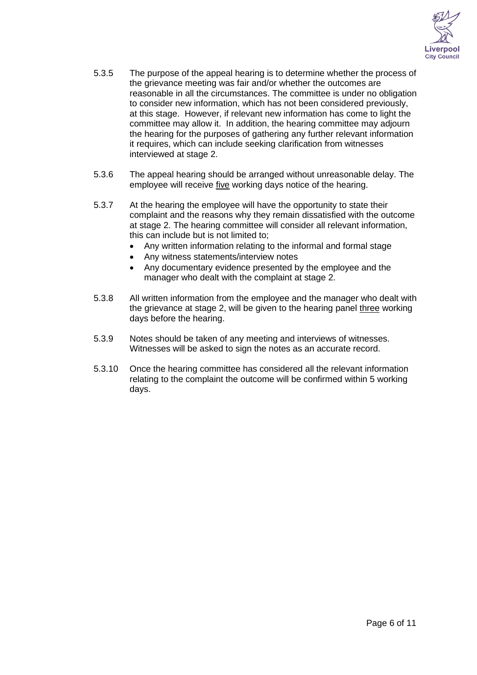

- 5.3.5 The purpose of the appeal hearing is to determine whether the process of the grievance meeting was fair and/or whether the outcomes are reasonable in all the circumstances. The committee is under no obligation to consider new information, which has not been considered previously, at this stage. However, if relevant new information has come to light the committee may allow it. In addition, the hearing committee may adjourn the hearing for the purposes of gathering any further relevant information it requires, which can include seeking clarification from witnesses interviewed at stage 2.
- 5.3.6 The appeal hearing should be arranged without unreasonable delay. The employee will receive five working days notice of the hearing.
- 5.3.7 At the hearing the employee will have the opportunity to state their complaint and the reasons why they remain dissatisfied with the outcome at stage 2. The hearing committee will consider all relevant information, this can include but is not limited to;
	- Any written information relating to the informal and formal stage
	- Any witness statements/interview notes
	- Any documentary evidence presented by the employee and the manager who dealt with the complaint at stage 2.
- 5.3.8 All written information from the employee and the manager who dealt with the grievance at stage 2, will be given to the hearing panel three working days before the hearing.
- 5.3.9 Notes should be taken of any meeting and interviews of witnesses. Witnesses will be asked to sign the notes as an accurate record.
- 5.3.10 Once the hearing committee has considered all the relevant information relating to the complaint the outcome will be confirmed within 5 working days.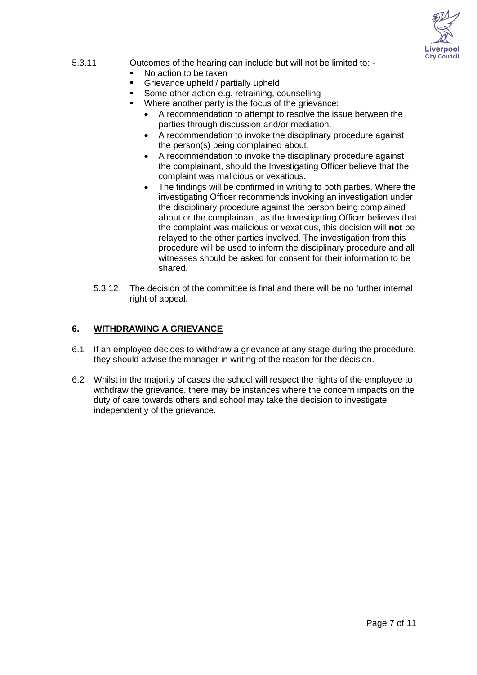

#### 5.3.11 Outcomes of the hearing can include but will not be limited to: -

- No action to be taken
- Grievance upheld / partially upheld
- Some other action e.g. retraining, counselling
- Where another party is the focus of the grievance:
	- A recommendation to attempt to resolve the issue between the parties through discussion and/or mediation.
	- A recommendation to invoke the disciplinary procedure against the person(s) being complained about.
	- A recommendation to invoke the disciplinary procedure against the complainant, should the Investigating Officer believe that the complaint was malicious or vexatious.
	- The findings will be confirmed in writing to both parties. Where the investigating Officer recommends invoking an investigation under the disciplinary procedure against the person being complained about or the complainant, as the Investigating Officer believes that the complaint was malicious or vexatious, this decision will **not** be relayed to the other parties involved. The investigation from this procedure will be used to inform the disciplinary procedure and all witnesses should be asked for consent for their information to be shared.
- 5.3.12 The decision of the committee is final and there will be no further internal right of appeal.

#### **6. WITHDRAWING A GRIEVANCE**

- 6.1 If an employee decides to withdraw a grievance at any stage during the procedure, they should advise the manager in writing of the reason for the decision.
- 6.2 Whilst in the majority of cases the school will respect the rights of the employee to withdraw the grievance, there may be instances where the concern impacts on the duty of care towards others and school may take the decision to investigate independently of the grievance.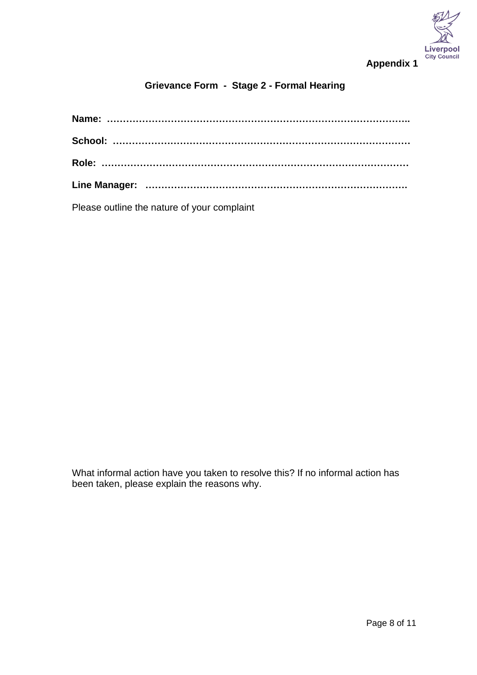

## **Appendix 1**

## **Grievance Form - Stage 2 - Formal Hearing**

Please outline the nature of your complaint

What informal action have you taken to resolve this? If no informal action has been taken, please explain the reasons why.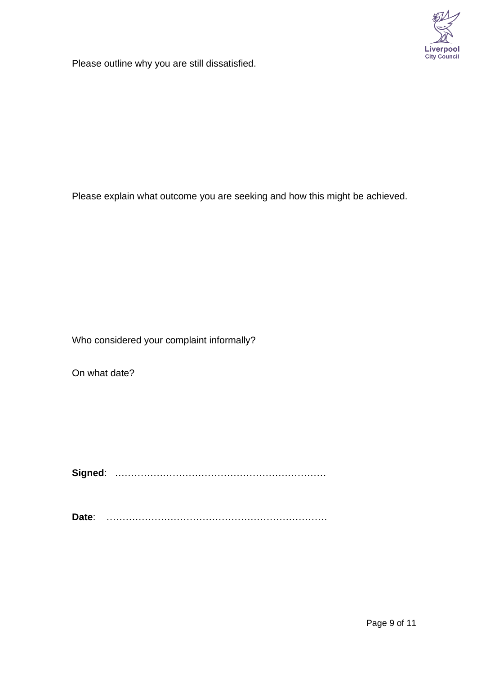

Please outline why you are still dissatisfied.

Please explain what outcome you are seeking and how this might be achieved.

Who considered your complaint informally?

On what date?

**Signed**: …………………………………………………………

**Date**: ……………………………………………………………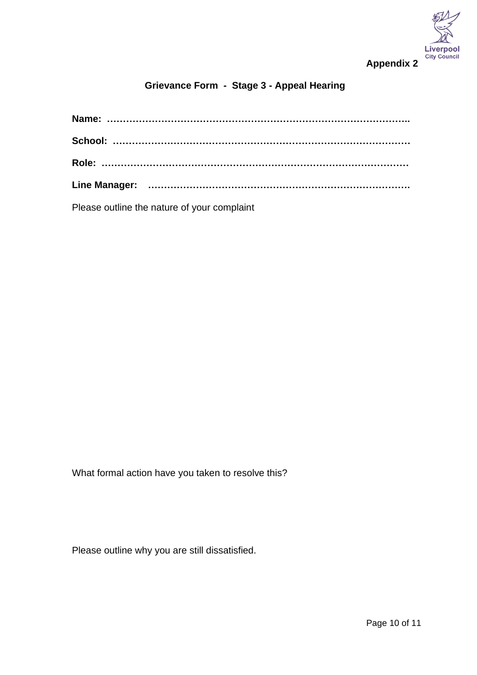

## **Grievance Form - Stage 3 - Appeal Hearing**

Please outline the nature of your complaint

What formal action have you taken to resolve this?

Please outline why you are still dissatisfied.